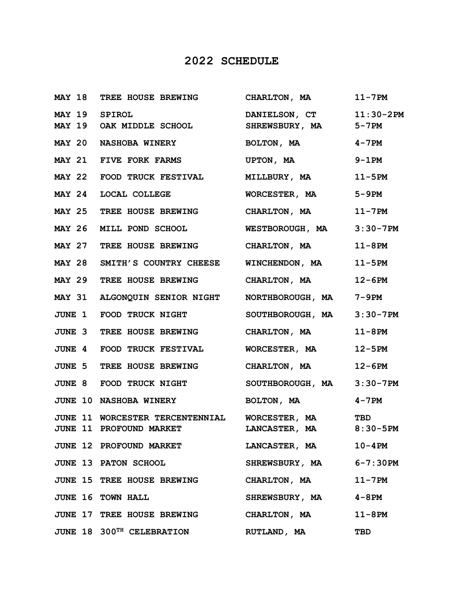## **2022 SCHEDULE**

|               | MAY 18 TREE HOUSE BREWING                                                           | CHARLTON, MA                              | $11-7$ PM     |
|---------------|-------------------------------------------------------------------------------------|-------------------------------------------|---------------|
| MAY 19 SPIROL | MAY 19 OAK MIDDLE SCHOOL                                                            | DANIELSON, CT 11:30-2PM<br>SHREWSBURY, MA | 5-7PM         |
|               | MAY 20 NASHOBA WINERY                                                               | BOLTON, MA                                | $4 - 7$ PM    |
|               | MAY 21 FIVE FORK FARMS                                                              | UPTON, MA                                 | 9-1PM         |
|               | MAY 22 FOOD TRUCK FESTIVAL MILLBURY, MA                                             |                                           | 11-5PM        |
| <b>MAY 24</b> | <b>LOCAL COLLEGE</b>                                                                | WORCESTER, MA                             | 5-9PM         |
|               | MAY 25 TREE HOUSE BREWING CHARLTON, MA                                              |                                           | $11 - 7$ PM   |
|               | MAY 26 MILL POND SCHOOL                                                             | <b>WESTBOROUGH, MA</b>                    | $3:30 - 7PM$  |
|               | MAY 27 TREE HOUSE BREWING CHARLTON, MA                                              |                                           | $11-8$ PM     |
|               | MAY 28 SMITH'S COUNTRY CHEESE WINCHENDON, MA                                        |                                           | 11-5PM        |
|               | MAY 29 TREE HOUSE BREWING CHARLTON, MA                                              |                                           | $12-6PM$      |
|               | MAY 31 ALGONQUIN SENIOR NIGHT NORTHBOROUGH, MA                                      |                                           | 7-9PM         |
| <b>JUNE 1</b> | FOOD TRUCK NIGHT                                                                    | SOUTHBOROUGH, MA                          | $3:30 - 7PM$  |
|               | <b>JUNE 3 TREE HOUSE BREWING</b>                                                    | CHARLTON, MA                              | $11-8$ PM     |
|               | JUNE 4 FOOD TRUCK FESTIVAL MORCESTER, MA                                            |                                           | $12 - 5PM$    |
|               | JUNE 5 TREE HOUSE BREWING CHARLTON, MA                                              |                                           | $12-6PM$      |
|               | <b>JUNE 8 FOOD TRUCK NIGHT</b>                                                      | SOUTHBOROUGH, MA                          | $3:30 - 7$ PM |
|               | <b>JUNE 10 NASHOBA WINERY</b>                                                       | BOLTON, MA                                | $4 - 7$ PM    |
|               | JUNE 11 WORCESTER TERCENTENNIAL WORCESTER, MA TBD<br><b>JUNE 11 PROFOUND MARKET</b> | LANCASTER, MA 8:30-5PM                    |               |
|               | <b>JUNE 12 PROFOUND MARKET</b>                                                      | LANCASTER, MA                             | $10 - 4$ PM   |
|               | <b>JUNE 13 PATON SCHOOL</b>                                                         | SHREWSBURY, MA 6-7:30PM                   |               |
|               | <b>JUNE 15 TREE HOUSE BREWING</b>                                                   | CHARLTON, MA                              | $11 - 7$ PM   |
|               | JUNE 16 TOWN HALL                                                                   | SHREWSBURY, MA                            | 4-8PM         |
|               | JUNE 17 TREE HOUSE BREWING                                                          | CHARLTON, MA                              | $11-8$ PM     |
|               | JUNE 18 300TH CELEBRATION                                                           | RUTLAND, MA<br><b>TBD</b>                 |               |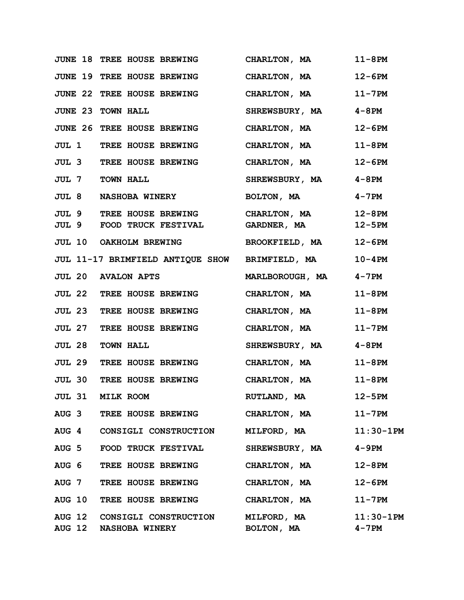|               | <b>JUNE 18 TREE HOUSE BREWING</b>                                              | CHARLTON, MA          | $11-8$ PM             |
|---------------|--------------------------------------------------------------------------------|-----------------------|-----------------------|
|               | JUNE 19 TREE HOUSE BREWING                                                     | CHARLTON, MA          | $12-6PM$              |
|               | JUNE 22 TREE HOUSE BREWING                                                     | CHARLTON, MA          | $11 - 7$ PM           |
|               | <b>JUNE 23 TOWN HALL</b>                                                       | SHREWSBURY, MA        | 4-8PM                 |
|               | JUNE 26 TREE HOUSE BREWING                                                     | CHARLTON, MA          | $12-6PM$              |
|               | <b>JUL 1 TREE HOUSE BREWING</b>                                                | CHARLTON, MA          | $11-8$ PM             |
|               | <b>JUL 3 TREE HOUSE BREWING</b>                                                | CHARLTON, MA          | $12-6PM$              |
|               | <b>JUL 7 TOWN HALL</b>                                                         | <b>SHREWSBURY, MA</b> | 4-8PM                 |
|               | <b>JUL 8 NASHOBA WINERY</b>                                                    | BOLTON, MA            | $4 - 7$ PM            |
|               | JUL 9 TREE HOUSE BREWING CHARLTON, MA<br>JUL 9 FOOD TRUCK FESTIVAL GARDNER, MA |                       | 12-8PM<br>$12 - 5PM$  |
|               | JUL 10 OAKHOLM BREWING                                                         | BROOKFIELD, MA        | $12-6PM$              |
|               | JUL 11-17 BRIMFIELD ANTIQUE SHOW BRIMFIELD, MA                                 |                       | $10 - 4$ PM           |
|               | <b>JUL 20 AVALON APTS</b>                                                      | MARLBOROUGH, MA       | 4-7PM                 |
|               | <b>JUL 22 TREE HOUSE BREWING</b>                                               | CHARLTON, MA          | $11-8$ PM             |
|               | <b>JUL 23 TREE HOUSE BREWING</b>                                               | CHARLTON, MA          | $11-8$ PM             |
|               | <b>JUL 27 TREE HOUSE BREWING</b>                                               | CHARLTON, MA          | $11 - 7$ PM           |
| <b>JUL 28</b> | <b>TOWN HALL</b>                                                               | SHREWSBURY, MA        | 4-8PM                 |
|               | <b>JUL 29 TREE HOUSE BREWING</b>                                               | CHARLTON, MA          | $11-8$ PM             |
|               | <b>JUL 30 TREE HOUSE BREWING</b>                                               | CHARLTON, MA          | $11-8$ PM             |
| JUL 31        | MILK ROOM                                                                      | RUTLAND, MA           | $12 - 5PM$            |
|               | AUG 3 TREE HOUSE BREWING                                                       | CHARLTON, MA          | $11 - 7$ PM           |
|               | AUG 4 CONSIGLI CONSTRUCTION MILFORD, MA                                        |                       | $11:30-1PM$           |
|               | AUG 5 FOOD TRUCK FESTIVAL                                                      | <b>SHREWSBURY, MA</b> | 4-9PM                 |
|               | AUG 6 TREE HOUSE BREWING CHARLTON, MA                                          |                       | $12 - 8PM$            |
|               | AUG 7 TREE HOUSE BREWING CHARLTON, MA                                          |                       | $12-6PM$              |
|               | AUG 10 TREE HOUSE BREWING CHARLTON, MA                                         |                       | $11-7$ PM             |
|               | AUG 12 CONSIGLI CONSTRUCTION MILFORD, MA<br>AUG 12 NASHOBA WINERY              | BOLTON, MA            | $11:30-1$ PM<br>4-7PM |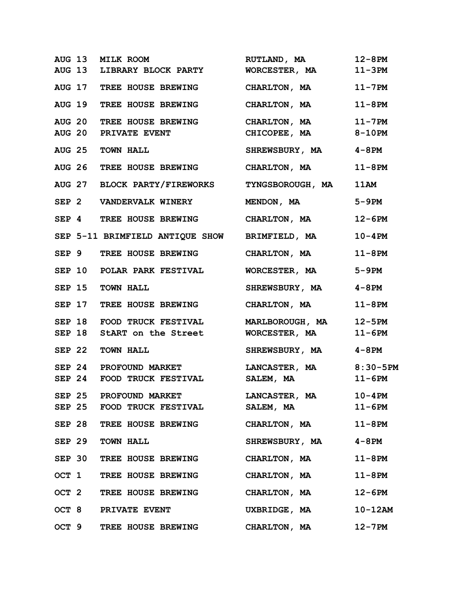|  | AUG 13 MILK ROOM                                  | RUTLAND, MA            | $12 - 8$ PM |
|--|---------------------------------------------------|------------------------|-------------|
|  | AUG 13 LIBRARY BLOCK PARTY WORCESTER, MA          |                        | $11-3PM$    |
|  | AUG 17 TREE HOUSE BREWING CHARLTON, MA            |                        | $11 - 7$ PM |
|  | AUG 19 TREE HOUSE BREWING CHARLTON, MA            |                        | $11-8$ PM   |
|  | AUG 20 TREE HOUSE BREWING CHARLTON, MA 11-7PM     |                        |             |
|  | <b>AUG 20 PRIVATE EVENT</b>                       | CHICOPEE, MA 8-10PM    |             |
|  | AUG 25 TOWN HALL                                  | SHREWSBURY, MA 4-8PM   |             |
|  | AUG 26 TREE HOUSE BREWING CHARLTON, MA            |                        | $11-8$ PM   |
|  | AUG 27 BLOCK PARTY/FIREWORKS TYNGSBOROUGH, MA     |                        | 11AM        |
|  | SEP 2 VANDERVALK WINERY                           | MENDON, MA             | $5-9PM$     |
|  | SEP 4 TREE HOUSE BREWING                          | CHARLTON, MA           | $12-6PM$    |
|  | SEP 5-11 BRIMFIELD ANTIQUE SHOW BRIMFIELD, MA     |                        | $10 - 4$ PM |
|  | SEP 9 TREE HOUSE BREWING CHARLTON, MA             |                        | $11-8$ PM   |
|  | SEP 10 POLAR PARK FESTIVAL                        | WORCESTER, MA          | 5-9PM       |
|  | SEP 15 TOWN HALL                                  | SHREWSBURY, MA 4-8PM   |             |
|  | SEP 17 TREE HOUSE BREWING CHARLTON, MA            |                        | $11-8$ PM   |
|  | SEP 18 FOOD TRUCK FESTIVAL MARLBOROUGH, MA 12-5PM |                        |             |
|  | SEP 18 StART on the Street WORCESTER, MA          |                        | $11-6PM$    |
|  | SEP 22 TOWN HALL                                  | SHREWSBURY, MA 4-8PM   |             |
|  | SEP 24 PROFOUND MARKET                            | LANCASTER, MA 8:30-5PM |             |
|  | SEP 24 FOOD TRUCK FESTIVAL                        | <b>SALEM, MA</b>       | $11-6PM$    |
|  | SEP 25 PROFOUND MARKET                            | <b>LANCASTER, MA</b>   | $10 - 4PM$  |
|  | SEP 25 FOOD TRUCK FESTIVAL                        | SALEM, MA              | $11-6$ PM   |
|  | SEP 28 TREE HOUSE BREWING                         | CHARLTON, MA           | $11-8$ PM   |
|  | SEP 29 TOWN HALL                                  | SHREWSBURY, MA 4-8PM   |             |
|  | SEP 30 TREE HOUSE BREWING                         | CHARLTON, MA           | $11-8$ PM   |
|  | OCT 1 TREE HOUSE BREWING                          | CHARLTON, MA           | $11-8$ PM   |
|  | OCT 2 TREE HOUSE BREWING CHARLTON, MA             |                        | 12-6PM      |
|  | OCT 8 PRIVATE EVENT                               | UXBRIDGE, MA           | $10-12$ AM  |
|  | OCT 9 TREE HOUSE BREWING CHARLTON, MA             |                        | $12 - 7$ PM |